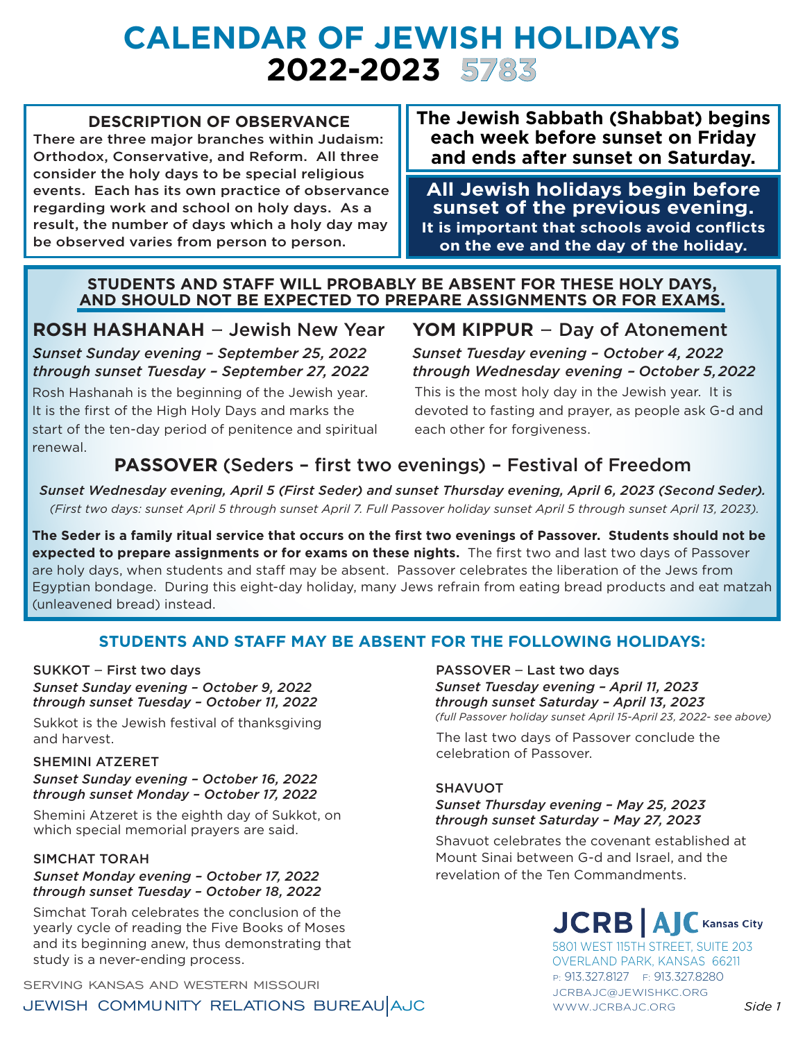# **Calendar of Jewish Holidays 2022-2023 5783**

### **DESCRIPTION OF OBSERVANCE**

There are three major branches within Judaism: Orthodox, Conservative, and Reform. All three consider the holy days to be special religious events. Each has its own practice of observance regarding work and school on holy days. As a result, the number of days which a holy day may be observed varies from person to person.

**The Jewish Sabbath (Shabbat) begins each week before sunset on Friday and ends after sunset on Saturday.**

**All Jewish holidays begin before sunset of the previous evening. It is important that schools avoid conflicts on the eve and the day of the holiday.**

#### **STUDENTS AND STAFF WILL PROBABLY BE ABSENT FOR THESE HOLY DAYS, AND SHOULD NOT BE EXPECTED TO PREPARE ASSIGNMENTS OR FOR EXAMS.**

# **ROSH HASHANAH** – Jewish New Year

*Sunset Sunday evening – September 25, 2022 through sunset Tuesday – September 27, 2022*

Rosh Hashanah is the beginning of the Jewish year. It is the first of the High Holy Days and marks the start of the ten-day period of penitence and spiritual renewal.

# **YOM KIPPUR** – Day of Atonement

*Sunset Tuesday evening – October 4, 2022 through Wednesday evening – October 5, 2022*

This is the most holy day in the Jewish year. It is devoted to fasting and prayer, as people ask G-d and each other for forgiveness.

# **PASSOVER** (Seders – first two evenings) – Festival of Freedom

*Sunset Wednesday evening, April 5 (First Seder) and sunset Thursday evening, April 6, 2023 (Second Seder). (First two days: sunset April 5 through sunset April 7. Full Passover holiday sunset April 5 through sunset April 13, 2023).*

**The Seder is a family ritual service that occurs on the first two evenings of Passover. Students should not be expected to prepare assignments or for exams on these nights.** The first two and last two days of Passover are holy days, when students and staff may be absent. Passover celebrates the liberation of the Jews from Egyptian bondage. During this eight-day holiday, many Jews refrain from eating bread products and eat matzah (unleavened bread) instead.

# **STUDENTS AND STAFF MAY BE ABSENT FOR THE FOLLOWING HOLIDAYS:**

#### SUKKOT – First two days *Sunset Sunday evening – October 9, 2022 through sunset Tuesday – October 11, 2022*

Sukkot is the Jewish festival of thanksgiving and harvest.

### *Sunset Sunday evening – October 16, 2022 through sunset Monday – October 17, 2022*

Shemini Atzeret is the eighth day of Sukkot, on which special memorial prayers are said.

#### SIMCHAT TORAH

#### *Sunset Monday evening – October 17, 2022 through sunset Tuesday – October 18, 2022*

Simchat Torah celebrates the conclusion of the yearly cycle of reading the Five Books of Moses and its beginning anew, thus demonstrating that study is a never-ending process.

P: 913.327.8127 F: 913.327.8280<br>SERVING KANSAS AND WESTERN MISSOURI

JEWISH COMMUNITY RELATIONS BUREAU AJC

#### PASSOVER – Last two days *Sunset Tuesday evening – April 11, 2023 through sunset Saturday – April 13, 2023 (full Passover holiday sunset April 15-April 23, 2022- see above)*

The last two days of Passover conclude the celebration of Passover. SHEMINI ATZERET

#### SHAVUOT

#### *Sunset Thursday evening – May 25, 2023 through sunset Saturday – May 27, 2023*

Shavuot celebrates the covenant established at Mount Sinai between G-d and Israel, and the revelation of the Ten Commandments.

# **JCRBIA Kansas City**

5801 WEST 115TH STREET, SUITE 203 OVERLAND PARK, KANSAS 66211 WWW.JCRBAJC.ORG *Side 1* JCRBAJC@JEWISHKC.ORG